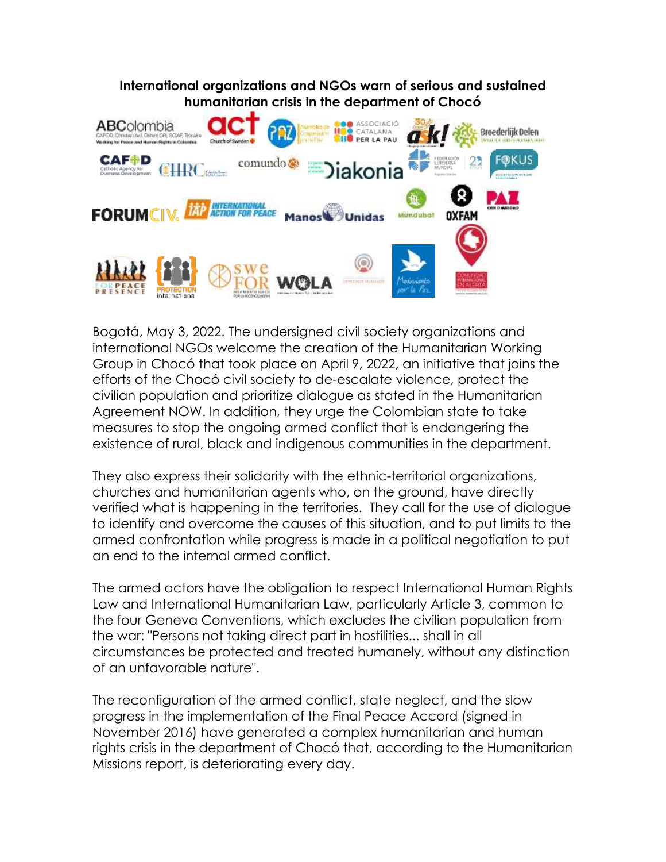**International organizations and NGOs warn of serious and sustained humanitarian crisis in the department of Chocó**



Bogotá, May 3, 2022. The undersigned civil society organizations and international NGOs welcome the creation of the Humanitarian Working Group in Chocó that took place on April 9, 2022, an initiative that joins the efforts of the Chocó civil society to de-escalate violence, protect the civilian population and prioritize dialogue as stated in the Humanitarian Agreement NOW. In addition, they urge the Colombian state to take measures to stop the ongoing armed conflict that is endangering the existence of rural, black and indigenous communities in the department.

They also express their solidarity with the ethnic-territorial organizations, churches and humanitarian agents who, on the ground, have directly verified what is happening in the territories. They call for the use of dialogue to identify and overcome the causes of this situation, and to put limits to the armed confrontation while progress is made in a political negotiation to put an end to the internal armed conflict.

The armed actors have the obligation to respect International Human Rights Law and International Humanitarian Law, particularly Article 3, common to the four Geneva Conventions, which excludes the civilian population from the war: "Persons not taking direct part in hostilities... shall in all circumstances be protected and treated humanely, without any distinction of an unfavorable nature".

The reconfiguration of the armed conflict, state neglect, and the slow progress in the implementation of the Final Peace Accord (signed in November 2016) have generated a complex humanitarian and human rights crisis in the department of Chocó that, according to the Humanitarian Missions report, is deteriorating every day.